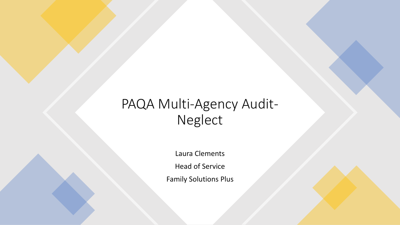### PAQA Multi-Agency Audit-Neglect

Laura Clements

Head of Service

Family Solutions Plus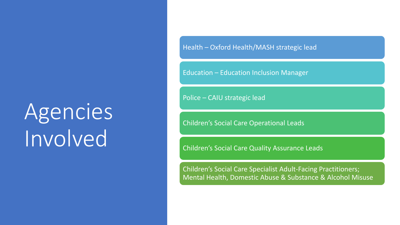# Agencies Involved

Health – Oxford Health/MASH strategic lead

Education – Education Inclusion Manager

Police – CAIU strategic lead

Children's Social Care Operational Leads

Children's Social Care Quality Assurance Leads

Children's Social Care Specialist Adult-Facing Practitioners; Mental Health, Domestic Abuse & Substance & Alcohol Misuse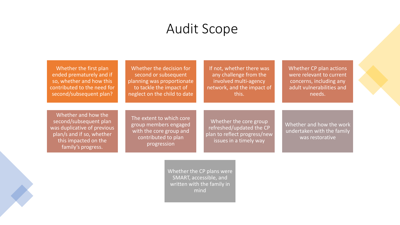#### Audit Scope

Whether the first plan ended prematurely and if so, whether and how this contributed to the need for second/subsequent plan?

Whether the decision for second or subsequent planning was proportionate to tackle the impact of neglect on the child to date

If not, whether there was any challenge from the involved multi-agency network, and the impact of this.

Whether CP plan actions were relevant to current concerns, including any adult vulnerabilities and needs.

Whether and how the second/subsequent plan was duplicative of previous plan/s and if so, whether this impacted on the family's progress.

The extent to which core group members engaged with the core group and contributed to plan progression

Whether the core group refreshed/updated the CP plan to reflect progress/new issues in a timely way

Whether and how the work undertaken with the family was restorative

Whether the CP plans were SMART, accessible, and written with the family in mind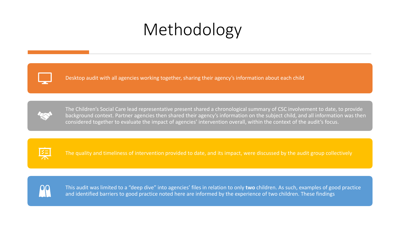## Methodology



Desktop audit with all agencies working together, sharing their agency's information about each child



The Children's Social Care lead representative present shared a chronological summary of CSC involvement to date, to provide background context. Partner agencies then shared their agency's information on the subject child, and all information was then considered together to evaluate the impact of agencies' intervention overall, within the context of the audit's focus.



The quality and timeliness of intervention provided to date, and its impact, were discussed by the audit group collectively



This audit was limited to a "deep dive" into agencies' files in relation to only **two** children. As such, examples of good practice and identified barriers to good practice noted here are informed by the experience of two children. These findings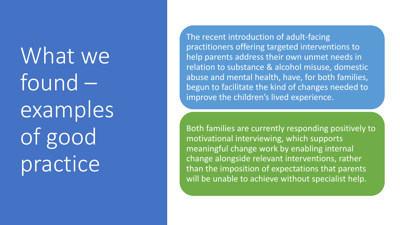What we found – examples of good practice

The recent introduction of adult -facing practitioners offering targeted interventions to help parents address their own unmet needs in relation to substance & alcohol misuse, domestic abuse and mental health, have, for both families, begun to facilitate the kind of changes needed to improve the children's lived experience.

Both families are currently responding positively to motivational interviewing, which supports meaningful change work by enabling internal change alongside relevant interventions, rather than the imposition of expectations that parents will be unable to achieve without specialist help.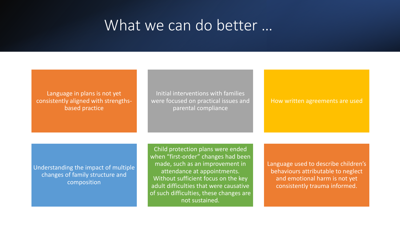#### What we can do better …

#### Language in plans is not yet consistently aligned with strengthsbased practice

Initial interventions with families were focused on practical issues and parental compliance

#### How written agreements are used

Understanding the impact of multiple changes of family structure and composition

Child protection plans were ended when "first-order" changes had been made, such as an improvement in attendance at appointments. Without sufficient focus on the key adult difficulties that were causative of such difficulties, these changes are not sustained.

Language used to describe children's behaviours attributable to neglect and emotional harm is not yet consistently trauma informed.